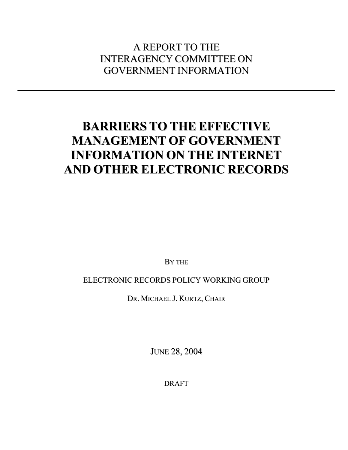# A REPORT TO THE INTERAGENCY COMMITTEE ON GOVERNMENT INFORMATION

# **BARRIERS TO THE EFFECTIVE MANAGEMENT OF GOVERNMENT INFORMATION ON THE INTERNET AND OTHER ELECTRONIC RECORDS**

BY THE

# ELECTRONIC RECORDS POLICY WORKING GROUP

DR. MICHAEL J. KURTZ, CHAIR

JUNE 28, 2004

DRAFT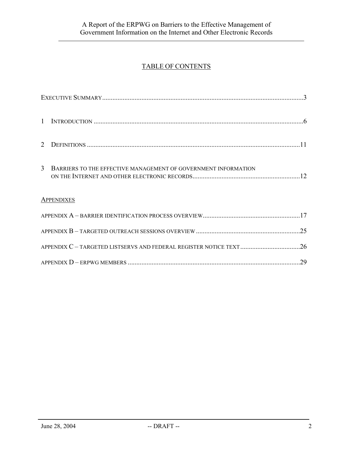# TABLE OF CONTENTS

| 2                 |                                                                |     |  |  |  |  |
|-------------------|----------------------------------------------------------------|-----|--|--|--|--|
| 3                 | BARRIERS TO THE EFFECTIVE MANAGEMENT OF GOVERNMENT INFORMATION |     |  |  |  |  |
| <b>APPENDIXES</b> |                                                                |     |  |  |  |  |
|                   |                                                                |     |  |  |  |  |
|                   |                                                                |     |  |  |  |  |
|                   |                                                                |     |  |  |  |  |
|                   |                                                                | .29 |  |  |  |  |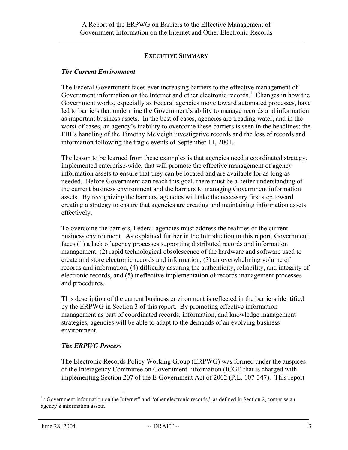#### **EXECUTIVE SUMMARY**

#### *The Current Environment*

The Federal Government faces ever increasing barriers to the effective management of Government information on the Internet and other electronic records.<sup>1</sup> Changes in how the Government works, especially as Federal agencies move toward automated processes, have led to barriers that undermine the Government's ability to manage records and information as important business assets. In the best of cases, agencies are treading water, and in the worst of cases, an agency's inability to overcome these barriers is seen in the headlines: the FBI's handling of the Timothy McVeigh investigative records and the loss of records and information following the tragic events of September 11, 2001.

The lesson to be learned from these examples is that agencies need a coordinated strategy, implemented enterprise-wide, that will promote the effective management of agency information assets to ensure that they can be located and are available for as long as needed. Before Government can reach this goal, there must be a better understanding of the current business environment and the barriers to managing Government information assets. By recognizing the barriers, agencies will take the necessary first step toward creating a strategy to ensure that agencies are creating and maintaining information assets effectively.

To overcome the barriers, Federal agencies must address the realities of the current business environment. As explained further in the Introduction to this report, Government faces (1) a lack of agency processes supporting distributed records and information management, (2) rapid technological obsolescence of the hardware and software used to create and store electronic records and information, (3) an overwhelming volume of records and information, (4) difficulty assuring the authenticity, reliability, and integrity of electronic records, and (5) ineffective implementation of records management processes and procedures.

This description of the current business environment is reflected in the barriers identified by the ERPWG in Section 3 of this report. By promoting effective information management as part of coordinated records, information, and knowledge management strategies, agencies will be able to adapt to the demands of an evolving business environment.

#### *The ERPWG Process*

The Electronic Records Policy Working Group (ERPWG) was formed under the auspices of the Interagency Committee on Government Information (ICGI) that is charged with implementing Section 207 of the E-Government Act of 2002 (P.L. 107-347). This report

<span id="page-2-0"></span> $\frac{1}{1}$ <sup>1</sup> "Government information on the Internet" and "other electronic records," as defined in Section 2, comprise an agency's information assets.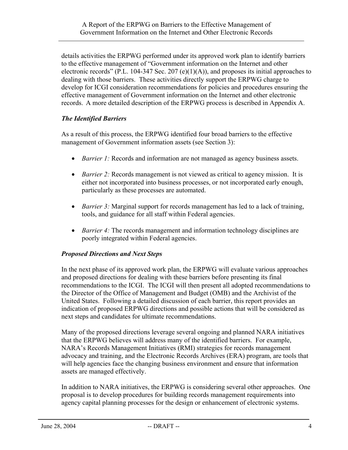details activities the ERPWG performed under its approved work plan to identify barriers to the effective management of "Government information on the Internet and other electronic records" (P.L. 104-347 Sec. 207 (e)(1)(A)), and proposes its initial approaches to dealing with those barriers. These activities directly support the ERPWG charge to develop for ICGI consideration recommendations for policies and procedures ensuring the effective management of Government information on the Internet and other electronic records. A more detailed description of the ERPWG process is described in Appendix A.

# *The Identified Barriers*

As a result of this process, the ERPWG identified four broad barriers to the effective management of Government information assets (see Section 3):

- *Barrier 1:* Records and information are not managed as agency business assets.
- *Barrier 2:* Records management is not viewed as critical to agency mission. It is either not incorporated into business processes, or not incorporated early enough, particularly as these processes are automated.
- *Barrier 3:* Marginal support for records management has led to a lack of training, tools, and guidance for all staff within Federal agencies.
- *Barrier 4:* The records management and information technology disciplines are poorly integrated within Federal agencies.

#### *Proposed Directions and Next Steps*

In the next phase of its approved work plan, the ERPWG will evaluate various approaches and proposed directions for dealing with these barriers before presenting its final recommendations to the ICGI. The ICGI will then present all adopted recommendations to the Director of the Office of Management and Budget (OMB) and the Archivist of the United States. Following a detailed discussion of each barrier, this report provides an indication of proposed ERPWG directions and possible actions that will be considered as next steps and candidates for ultimate recommendations.

Many of the proposed directions leverage several ongoing and planned NARA initiatives that the ERPWG believes will address many of the identified barriers. For example, NARA's Records Management Initiatives (RMI) strategies for records management advocacy and training, and the Electronic Records Archives (ERA) program, are tools that will help agencies face the changing business environment and ensure that information assets are managed effectively.

In addition to NARA initiatives, the ERPWG is considering several other approaches. One proposal is to develop procedures for building records management requirements into agency capital planning processes for the design or enhancement of electronic systems.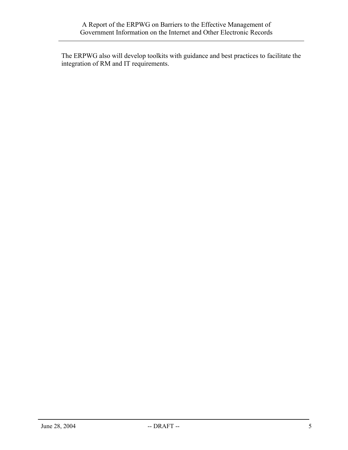The ERPWG also will develop toolkits with guidance and best practices to facilitate the integration of RM and IT requirements.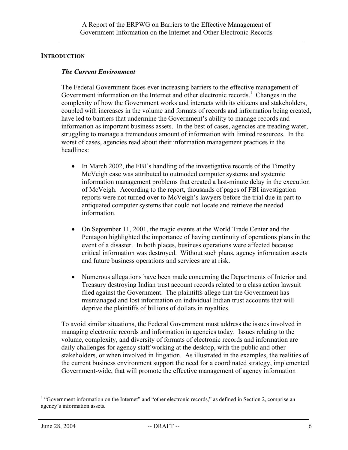#### **INTRODUCTION**

#### *The Current Environment*

The Federal Government faces ever increasing barriers to the effective management of Government information on the Internet and other electronic records.<sup>1</sup> Changes in the complexity of how the Government works and interacts with its citizens and stakeholders, coupled with increases in the volume and formats of records and information being created, have led to barriers that undermine the Government's ability to manage records and information as important business assets. In the best of cases, agencies are treading water, struggling to manage a tremendous amount of information with limited resources. In the worst of cases, agencies read about their information management practices in the headlines:

- In March 2002, the FBI's handling of the investigative records of the Timothy McVeigh case was attributed to outmoded computer systems and systemic information management problems that created a last-minute delay in the execution of McVeigh. According to the report, thousands of pages of FBI investigation reports were not turned over to McVeigh's lawyers before the trial due in part to antiquated computer systems that could not locate and retrieve the needed information.
- On September 11, 2001, the tragic events at the World Trade Center and the Pentagon highlighted the importance of having continuity of operations plans in the event of a disaster. In both places, business operations were affected because critical information was destroyed. Without such plans, agency information assets and future business operations and services are at risk.
- Numerous allegations have been made concerning the Departments of Interior and Treasury destroying Indian trust account records related to a class action lawsuit filed against the Government.The plaintiffs allege that the Government has mismanaged and lost information on individual Indian trust accounts that will deprive the plaintiffs of billions of dollars in royalties.

To avoid similar situations, the Federal Government must address the issues involved in managing electronic records and information in agencies today. Issues relating to the volume, complexity, and diversity of formats of electronic records and information are daily challenges for agency staff working at the desktop, with the public and other stakeholders, or when involved in litigation. As illustrated in the examples, the realities of the current business environment support the need for a coordinated strategy, implemented Government-wide, that will promote the effective management of agency information

<span id="page-5-0"></span> $\frac{1}{1}$ <sup>1</sup> "Government information on the Internet" and "other electronic records," as defined in Section 2, comprise an agency's information assets.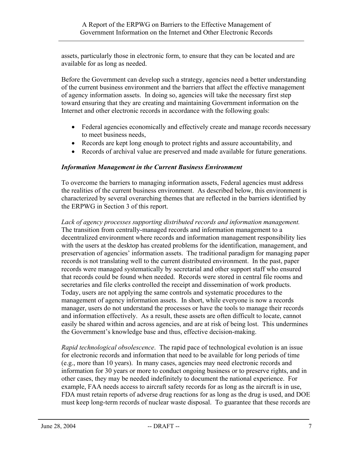assets, particularly those in electronic form, to ensure that they can be located and are available for as long as needed.

Before the Government can develop such a strategy, agencies need a better understanding of the current business environment and the barriers that affect the effective management of agency information assets. In doing so, agencies will take the necessary first step toward ensuring that they are creating and maintaining Government information on the Internet and other electronic records in accordance with the following goals:

- Federal agencies economically and effectively create and manage records necessary to meet business needs,
- Records are kept long enough to protect rights and assure accountability, and
- Records of archival value are preserved and made available for future generations.

#### *Information Management in the Current Business Environment*

To overcome the barriers to managing information assets, Federal agencies must address the realities of the current business environment. As described below, this environment is characterized by several overarching themes that are reflected in the barriers identified by the ERPWG in Section 3 of this report.

*Lack of agency processes supporting distributed records and information management.* The transition from centrally-managed records and information management to a decentralized environment where records and information management responsibility lies with the users at the desktop has created problems for the identification, management, and preservation of agencies' information assets. The traditional paradigm for managing paper records is not translating well to the current distributed environment. In the past, paper records were managed systematically by secretarial and other support staff who ensured that records could be found when needed. Records were stored in central file rooms and secretaries and file clerks controlled the receipt and dissemination of work products. Today, users are not applying the same controls and systematic procedures to the management of agency information assets. In short, while everyone is now a records manager, users do not understand the processes or have the tools to manage their records and information effectively. As a result, these assets are often difficult to locate, cannot easily be shared within and across agencies, and are at risk of being lost. This undermines the Government's knowledge base and thus, effective decision-making.

*Rapid technological obsolescence*. The rapid pace of technological evolution is an issue for electronic records and information that need to be available for long periods of time (e.g., more than 10 years). In many cases, agencies may need electronic records and information for 30 years or more to conduct ongoing business or to preserve rights, and in other cases, they may be needed indefinitely to document the national experience. For example, FAA needs access to aircraft safety records for as long as the aircraft is in use, FDA must retain reports of adverse drug reactions for as long as the drug is used, and DOE must keep long-term records of nuclear waste disposal. To guarantee that these records are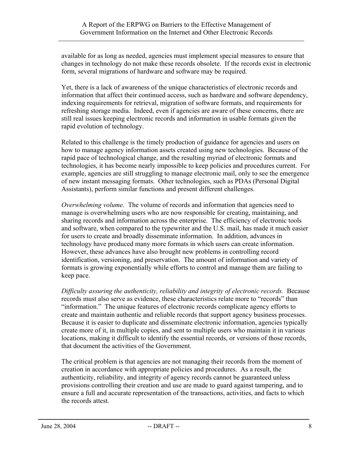available for as long as needed, agencies must implement special measures to ensure that changes in technology do not make these records obsolete. If the records exist in electronic form, several migrations of hardware and software may be required.

Yet, there is a lack of awareness of the unique characteristics of electronic records and information that affect their continued access, such as hardware and software dependency, indexing requirements for retrieval, migration of software formats, and requirements for refreshing storage media. Indeed, even if agencies are aware of these concerns, there are still real issues keeping electronic records and information in usable formats given the rapid evolution of technology.

Related to this challenge is the timely production of guidance for agencies and users on how to manage agency information assets created using new technologies. Because of the rapid pace of technological change, and the resulting myriad of electronic formats and technologies, it has become nearly impossible to keep policies and procedures current. For example, agencies are still struggling to manage electronic mail, only to see the emergence of new instant messaging formats. Other technologies, such as PDAs (Personal Digital Assistants), perform similar functions and present different challenges.

*Overwhelming volume.* The volume of records and information that agencies need to manage is overwhelming users who are now responsible for creating, maintaining, and sharing records and information across the enterprise. The efficiency of electronic tools and software, when compared to the typewriter and the U.S. mail, has made it much easier for users to create and broadly disseminate information. In addition, advances in technology have produced many more formats in which users can create information. However, these advances have also brought new problems in controlling record identification, versioning, and preservation. The amount of information and variety of formats is growing exponentially while efforts to control and manage them are failing to keep pace.

*Difficulty assuring the authenticity, reliability and integrity of electronic records.* Because records must also serve as evidence, these characteristics relate more to "records" than "information." The unique features of electronic records complicate agency efforts to create and maintain authentic and reliable records that support agency business processes. Because it is easier to duplicate and disseminate electronic information, agencies typically create more of it, in multiple copies, and sent to multiple users who maintain it in various locations, making it difficult to identify the essential records, or versions of those records, that document the activities of the Government.

The critical problem is that agencies are not managing their records from the moment of creation in accordance with appropriate policies and procedures. As a result, the authenticity, reliability, and integrity of agency records cannot be guaranteed unless provisions controlling their creation and use are made to guard against tampering, and to ensure a full and accurate representation of the transactions, activities, and facts to which the records attest.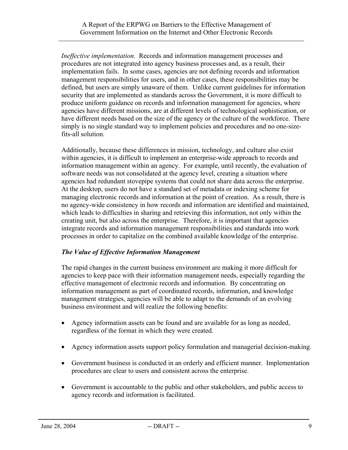*Ineffective implementation.* Records and information management processes and procedures are not integrated into agency business processes and, as a result, their implementation fails. In some cases, agencies are not defining records and information management responsibilities for users, and in other cases, these responsibilities may be defined, but users are simply unaware of them. Unlike current guidelines for information security that are implemented as standards across the Government, it is more difficult to produce uniform guidance on records and information management for agencies, where agencies have different missions, are at different levels of technological sophistication, or have different needs based on the size of the agency or the culture of the workforce. There simply is no single standard way to implement policies and procedures and no one-sizefits-all solution.

Additionally, because these differences in mission, technology, and culture also exist within agencies, it is difficult to implement an enterprise-wide approach to records and information management within an agency. For example, until recently, the evaluation of software needs was not consolidated at the agency level, creating a situation where agencies had redundant stovepipe systems that could not share data across the enterprise. At the desktop, users do not have a standard set of metadata or indexing scheme for managing electronic records and information at the point of creation. As a result, there is no agency-wide consistency in how records and information are identified and maintained, which leads to difficulties in sharing and retrieving this information, not only within the creating unit, but also across the enterprise. Therefore, it is important that agencies integrate records and information management responsibilities and standards into work processes in order to capitalize on the combined available knowledge of the enterprise.

# *The Value of Effective Information Management*

The rapid changes in the current business environment are making it more difficult for agencies to keep pace with their information management needs, especially regarding the effective management of electronic records and information. By concentrating on information management as part of coordinated records, information, and knowledge management strategies, agencies will be able to adapt to the demands of an evolving business environment and will realize the following benefits:

- Agency information assets can be found and are available for as long as needed, regardless of the format in which they were created.
- Agency information assets support policy formulation and managerial decision-making.
- Government business is conducted in an orderly and efficient manner. Implementation procedures are clear to users and consistent across the enterprise.
- Government is accountable to the public and other stakeholders, and public access to agency records and information is facilitated.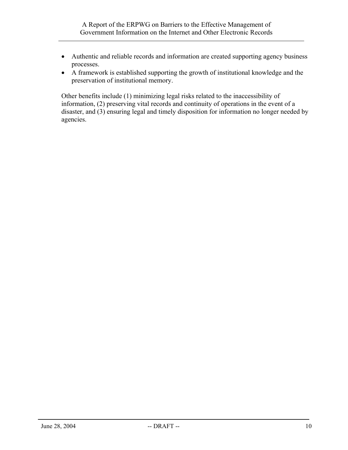- Authentic and reliable records and information are created supporting agency business processes.
- A framework is established supporting the growth of institutional knowledge and the preservation of institutional memory.

Other benefits include (1) minimizing legal risks related to the inaccessibility of information, (2) preserving vital records and continuity of operations in the event of a disaster, and (3) ensuring legal and timely disposition for information no longer needed by agencies.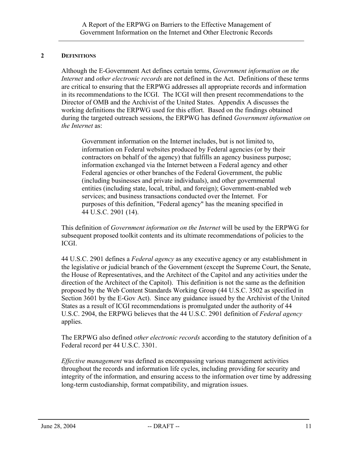#### **2 DEFINITIONS**

Although the E-Government Act defines certain terms, *Government information on the Internet* and *other electronic records* are not defined in the Act. Definitions of these terms are critical to ensuring that the ERPWG addresses all appropriate records and information in its recommendations to the ICGI. The ICGI will then present recommendations to the Director of OMB and the Archivist of the United States. Appendix A discusses the working definitions the ERPWG used for this effort. Based on the findings obtained during the targeted outreach sessions, the ERPWG has defined *Government information on the Internet* as:

Government information on the Internet includes, but is not limited to, information on Federal websites produced by Federal agencies (or by their contractors on behalf of the agency) that fulfills an agency business purpose; information exchanged via the Internet between a Federal agency and other Federal agencies or other branches of the Federal Government, the public (including businesses and private individuals), and other governmental entities (including state, local, tribal, and foreign); Government-enabled web services; and business transactions conducted over the Internet. For purposes of this definition, "Federal agency" has the meaning specified in 44 U.S.C. 2901 (14).

This definition of *Government information on the Internet* will be used by the ERPWG for subsequent proposed toolkit contents and its ultimate recommendations of policies to the ICGI.

44 U.S.C. 2901 defines a *Federal agency* as any executive agency or any establishment in the legislative or judicial branch of the Government (except the Supreme Court, the Senate, the House of Representatives, and the Architect of the Capitol and any activities under the direction of the Architect of the Capitol). This definition is not the same as the definition proposed by the Web Content Standards Working Group (44 U.S.C. 3502 as specified in Section 3601 by the E-Gov Act). Since any guidance issued by the Archivist of the United States as a result of ICGI recommendations is promulgated under the authority of 44 U.S.C. 2904, the ERPWG believes that the 44 U.S.C. 2901 definition of *Federal agency* applies.

The ERPWG also defined *other electronic records* according to the statutory definition of a Federal record per 44 U.S.C. 3301.

*Effective management* was defined as encompassing various management activities throughout the records and information life cycles, including providing for security and integrity of the information, and ensuring access to the information over time by addressing long-term custodianship, format compatibility, and migration issues.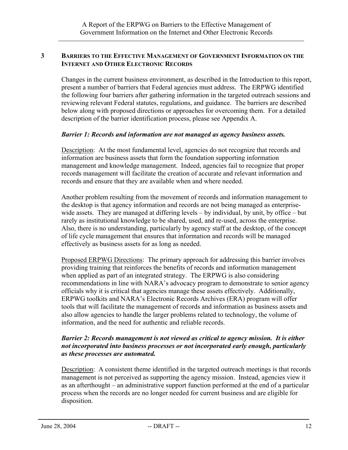#### **3 BARRIERS TO THE EFFECTIVE MANAGEMENT OF GOVERNMENT INFORMATION ON THE INTERNET AND OTHER ELECTRONIC RECORDS**

Changes in the current business environment, as described in the Introduction to this report, present a number of barriers that Federal agencies must address. The ERPWG identified the following four barriers after gathering information in the targeted outreach sessions and reviewing relevant Federal statutes, regulations, and guidance. The barriers are described below along with proposed directions or approaches for overcoming them. For a detailed description of the barrier identification process, please see Appendix A.

#### *Barrier 1: Records and information are not managed as agency business assets.*

Description: At the most fundamental level, agencies do not recognize that records and information are business assets that form the foundation supporting information management and knowledge management. Indeed, agencies fail to recognize that proper records management will facilitate the creation of accurate and relevant information and records and ensure that they are available when and where needed.

Another problem resulting from the movement of records and information management to the desktop is that agency information and records are not being managed as enterprisewide assets. They are managed at differing levels – by individual, by unit, by office – but rarely as institutional knowledge to be shared, used, and re-used, across the enterprise. Also, there is no understanding, particularly by agency staff at the desktop, of the concept of life cycle management that ensures that information and records will be managed effectively as business assets for as long as needed.

Proposed ERPWG Directions: The primary approach for addressing this barrier involves providing training that reinforces the benefits of records and information management when applied as part of an integrated strategy. The ERPWG is also considering recommendations in line with NARA's advocacy program to demonstrate to senior agency officials why it is critical that agencies manage these assets effectively. Additionally, ERPWG toolkits and NARA's Electronic Records Archives (ERA) program will offer tools that will facilitate the management of records and information as business assets and also allow agencies to handle the larger problems related to technology, the volume of information, and the need for authentic and reliable records.

#### *Barrier 2: Records management is not viewed as critical to agency mission. It is either not incorporated into business processes or not incorporated early enough, particularly as these processes are automated.*

Description: A consistent theme identified in the targeted outreach meetings is that records management is not perceived as supporting the agency mission. Instead, agencies view it as an afterthought – an administrative support function performed at the end of a particular process when the records are no longer needed for current business and are eligible for disposition.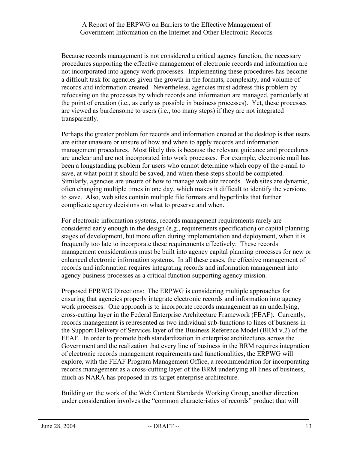Because records management is not considered a critical agency function, the necessary procedures supporting the effective management of electronic records and information are not incorporated into agency work processes. Implementing these procedures has become a difficult task for agencies given the growth in the formats, complexity, and volume of records and information created. Nevertheless, agencies must address this problem by refocusing on the processes by which records and information are managed, particularly at the point of creation (i.e., as early as possible in business processes). Yet, these processes are viewed as burdensome to users (i.e., too many steps) if they are not integrated transparently.

Perhaps the greater problem for records and information created at the desktop is that users are either unaware or unsure of how and when to apply records and information management procedures. Most likely this is because the relevant guidance and procedures are unclear and are not incorporated into work processes. For example, electronic mail has been a longstanding problem for users who cannot determine which copy of the e-mail to save, at what point it should be saved, and when these steps should be completed. Similarly, agencies are unsure of how to manage web site records. Web sites are dynamic, often changing multiple times in one day, which makes it difficult to identify the versions to save. Also, web sites contain multiple file formats and hyperlinks that further complicate agency decisions on what to preserve and when.

For electronic information systems, records management requirements rarely are considered early enough in the design (e.g., requirements specification) or capital planning stages of development, but more often during implementation and deployment, when it is frequently too late to incorporate these requirements effectively. These records management considerations must be built into agency capital planning processes for new or enhanced electronic information systems. In all these cases, the effective management of records and information requires integrating records and information management into agency business processes as a critical function supporting agency mission.

Proposed EPRWG Directions: The ERPWG is considering multiple approaches for ensuring that agencies properly integrate electronic records and information into agency work processes. One approach is to incorporate records management as an underlying, cross-cutting layer in the Federal Enterprise Architecture Framework (FEAF). Currently, records management is represented as two individual sub-functions to lines of business in the Support Delivery of Services layer of the Business Reference Model (BRM v.2) of the FEAF. In order to promote both standardization in enterprise architectures across the Government and the realization that every line of business in the BRM requires integration of electronic records management requirements and functionalities, the ERPWG will explore, with the FEAF Program Management Office, a recommendation for incorporating records management as a cross-cutting layer of the BRM underlying all lines of business, much as NARA has proposed in its target enterprise architecture.

Building on the work of the Web Content Standards Working Group, another direction under consideration involves the "common characteristics of records" product that will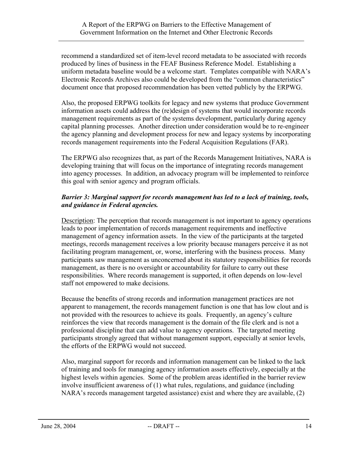recommend a standardized set of item-level record metadata to be associated with records produced by lines of business in the FEAF Business Reference Model. Establishing a uniform metadata baseline would be a welcome start. Templates compatible with NARA's Electronic Records Archives also could be developed from the "common characteristics" document once that proposed recommendation has been vetted publicly by the ERPWG.

Also, the proposed ERPWG toolkits for legacy and new systems that produce Government information assets could address the (re)design of systems that would incorporate records management requirements as part of the systems development, particularly during agency capital planning processes. Another direction under consideration would be to re-engineer the agency planning and development process for new and legacy systems by incorporating records management requirements into the Federal Acquisition Regulations (FAR).

The ERPWG also recognizes that, as part of the Records Management Initiatives, NARA is developing training that will focus on the importance of integrating records management into agency processes. In addition, an advocacy program will be implemented to reinforce this goal with senior agency and program officials.

## *Barrier 3: Marginal support for records management has led to a lack of training, tools, and guidance in Federal agencies.*

Description: The perception that records management is not important to agency operations leads to poor implementation of records management requirements and ineffective management of agency information assets. In the view of the participants at the targeted meetings, records management receives a low priority because managers perceive it as not facilitating program management, or, worse, interfering with the business process. Many participants saw management as unconcerned about its statutory responsibilities for records management, as there is no oversight or accountability for failure to carry out these responsibilities. Where records management is supported, it often depends on low-level staff not empowered to make decisions.

Because the benefits of strong records and information management practices are not apparent to management, the records management function is one that has low clout and is not provided with the resources to achieve its goals. Frequently, an agency's culture reinforces the view that records management is the domain of the file clerk and is not a professional discipline that can add value to agency operations. The targeted meeting participants strongly agreed that without management support, especially at senior levels, the efforts of the ERPWG would not succeed.

Also, marginal support for records and information management can be linked to the lack of training and tools for managing agency information assets effectively, especially at the highest levels within agencies. Some of the problem areas identified in the barrier review involve insufficient awareness of (1) what rules, regulations, and guidance (including NARA's records management targeted assistance) exist and where they are available, (2)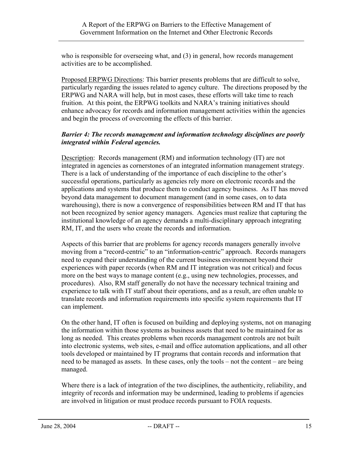who is responsible for overseeing what, and (3) in general, how records management activities are to be accomplished.

Proposed ERPWG Directions: This barrier presents problems that are difficult to solve, particularly regarding the issues related to agency culture. The directions proposed by the ERPWG and NARA will help, but in most cases, these efforts will take time to reach fruition. At this point, the ERPWG toolkits and NARA's training initiatives should enhance advocacy for records and information management activities within the agencies and begin the process of overcoming the effects of this barrier.

#### *Barrier 4: The records management and information technology disciplines are poorly integrated within Federal agencies.*

Description: Records management (RM) and information technology (IT) are not integrated in agencies as cornerstones of an integrated information management strategy. There is a lack of understanding of the importance of each discipline to the other's successful operations, particularly as agencies rely more on electronic records and the applications and systems that produce them to conduct agency business. As IT has moved beyond data management to document management (and in some cases, on to data warehousing), there is now a convergence of responsibilities between RM and IT that has not been recognized by senior agency managers. Agencies must realize that capturing the institutional knowledge of an agency demands a multi-disciplinary approach integrating RM, IT, and the users who create the records and information.

Aspects of this barrier that are problems for agency records managers generally involve moving from a "record-centric" to an "information-centric" approach. Records managers need to expand their understanding of the current business environment beyond their experiences with paper records (when RM and IT integration was not critical) and focus more on the best ways to manage content (e.g., using new technologies, processes, and procedures). Also, RM staff generally do not have the necessary technical training and experience to talk with IT staff about their operations, and as a result, are often unable to translate records and information requirements into specific system requirements that IT can implement.

On the other hand, IT often is focused on building and deploying systems, not on managing the information within those systems as business assets that need to be maintained for as long as needed. This creates problems when records management controls are not built into electronic systems, web sites, e-mail and office automation applications, and all other tools developed or maintained by IT programs that contain records and information that need to be managed as assets. In these cases, only the tools – not the content – are being managed.

Where there is a lack of integration of the two disciplines, the authenticity, reliability, and integrity of records and information may be undermined, leading to problems if agencies are involved in litigation or must produce records pursuant to FOIA requests.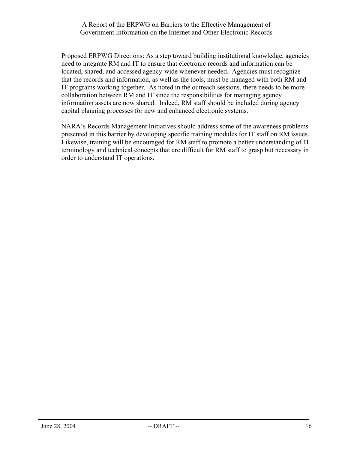Proposed ERPWG Directions: As a step toward building institutional knowledge, agencies need to integrate RM and IT to ensure that electronic records and information can be located, shared, and accessed agency-wide whenever needed. Agencies must recognize that the records and information, as well as the tools, must be managed with both RM and IT programs working together. As noted in the outreach sessions, there needs to be more collaboration between RM and IT since the responsibilities for managing agency information assets are now shared. Indeed, RM staff should be included during agency capital planning processes for new and enhanced electronic systems.

NARA's Records Management Initiatives should address some of the awareness problems presented in this barrier by developing specific training modules for IT staff on RM issues. Likewise, training will be encouraged for RM staff to promote a better understanding of IT terminology and technical concepts that are difficult for RM staff to grasp but necessary in order to understand IT operations.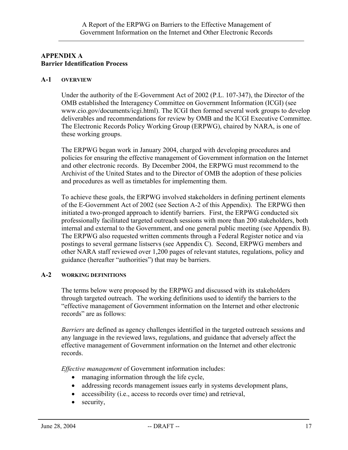# **APPENDIX A Barrier Identification Process**

#### **A-1 OVERVIEW**

Under the authority of the E-Government Act of 2002 (P.L. 107-347), the Director of the OMB established the Interagency Committee on Government Information (ICGI) (see www.cio.gov/documents/icgi.html). The ICGI then formed several work groups to develop deliverables and recommendations for review by OMB and the ICGI Executive Committee. The Electronic Records Policy Working Group (ERPWG), chaired by NARA, is one of these working groups.

The ERPWG began work in January 2004, charged with developing procedures and policies for ensuring the effective management of Government information on the Internet and other electronic records. By December 2004, the ERPWG must recommend to the Archivist of the United States and to the Director of OMB the adoption of these policies and procedures as well as timetables for implementing them.

To achieve these goals, the ERPWG involved stakeholders in defining pertinent elements of the E-Government Act of 2002 (see Section A-2 of this Appendix). The ERPWG then initiated a two-pronged approach to identify barriers. First, the ERPWG conducted six professionally facilitated targeted outreach sessions with more than 200 stakeholders, both internal and external to the Government, and one general public meeting (see Appendix B). The ERPWG also requested written comments through a Federal Register notice and via postings to several germane listservs (see Appendix C). Second, ERPWG members and other NARA staff reviewed over 1,200 pages of relevant statutes, regulations, policy and guidance (hereafter "authorities") that may be barriers.

#### **A-2 WORKING DEFINITIONS**

The terms below were proposed by the ERPWG and discussed with its stakeholders through targeted outreach. The working definitions used to identify the barriers to the "effective management of Government information on the Internet and other electronic records" are as follows:

*Barriers* are defined as agency challenges identified in the targeted outreach sessions and any language in the reviewed laws, regulations, and guidance that adversely affect the effective management of Government information on the Internet and other electronic records.

*Effective management* of Government information includes:

- managing information through the life cycle,
- addressing records management issues early in systems development plans,
- accessibility (i.e., access to records over time) and retrieval,
- security,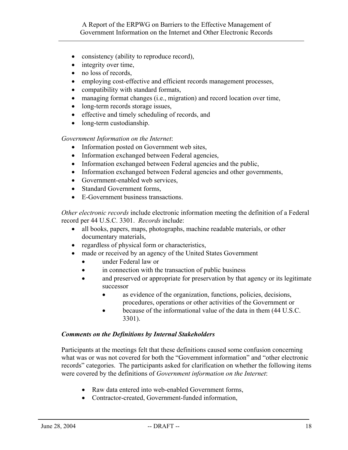- consistency (ability to reproduce record),
- integrity over time,
- no loss of records,
- employing cost-effective and efficient records management processes,
- compatibility with standard formats,
- managing format changes (i.e., migration) and record location over time,
- long-term records storage issues,
- effective and timely scheduling of records, and
- long-term custodianship.

#### *Government Information on the Internet*:

- Information posted on Government web sites,
- Information exchanged between Federal agencies,
- Information exchanged between Federal agencies and the public,
- Information exchanged between Federal agencies and other governments,
- Government-enabled web services,
- Standard Government forms,
- E-Government business transactions.

*Other electronic records* include electronic information meeting the definition of a Federal record per 44 U.S.C. 3301. *Records* include:

- all books, papers, maps, photographs, machine readable materials, or other documentary materials,
- regardless of physical form or characteristics,
- made or received by an agency of the United States Government
	- under Federal law or
	- in connection with the transaction of public business
	- and preserved or appropriate for preservation by that agency or its legitimate successor
		- as evidence of the organization, functions, policies, decisions, procedures, operations or other activities of the Government or
		- because of the informational value of the data in them (44 U.S.C. 3301).

#### *Comments on the Definitions by Internal Stakeholders*

Participants at the meetings felt that these definitions caused some confusion concerning what was or was not covered for both the "Government information" and "other electronic records" categories. The participants asked for clarification on whether the following items were covered by the definitions of *Government information on the Internet*:

- Raw data entered into web-enabled Government forms,
- Contractor-created, Government-funded information,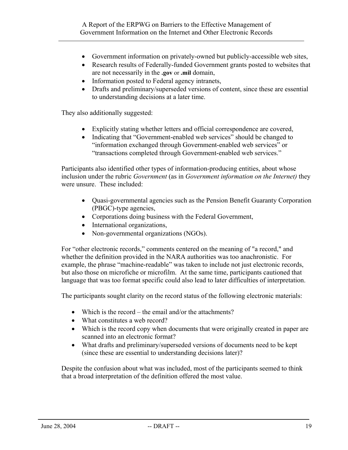- Government information on privately-owned but publicly-accessible web sites,
- Research results of Federally-funded Government grants posted to websites that are not necessarily in the **.gov** or **.mil** domain,
- Information posted to Federal agency intranets,
- Drafts and preliminary/superseded versions of content, since these are essential to understanding decisions at a later time.

They also additionally suggested:

- Explicitly stating whether letters and official correspondence are covered,
- Indicating that "Government-enabled web services" should be changed to "information exchanged through Government-enabled web services" or "transactions completed through Government-enabled web services."

Participants also identified other types of information-producing entities, about whose inclusion under the rubric *Government* (as in *Government information on the Internet)* they were unsure. These included:

- Quasi-governmental agencies such as the Pension Benefit Guaranty Corporation (PBGC)-type agencies,
- Corporations doing business with the Federal Government,
- International organizations,
- Non-governmental organizations (NGOs).

For "other electronic records," comments centered on the meaning of "a record," and whether the definition provided in the NARA authorities was too anachronistic. For example, the phrase "machine-readable" was taken to include not just electronic records, but also those on microfiche or microfilm. At the same time, participants cautioned that language that was too format specific could also lead to later difficulties of interpretation.

The participants sought clarity on the record status of the following electronic materials:

- Which is the record the email and/or the attachments?
- What constitutes a web record?
- Which is the record copy when documents that were originally created in paper are scanned into an electronic format?
- What drafts and preliminary/superseded versions of documents need to be kept (since these are essential to understanding decisions later)?

Despite the confusion about what was included, most of the participants seemed to think that a broad interpretation of the definition offered the most value.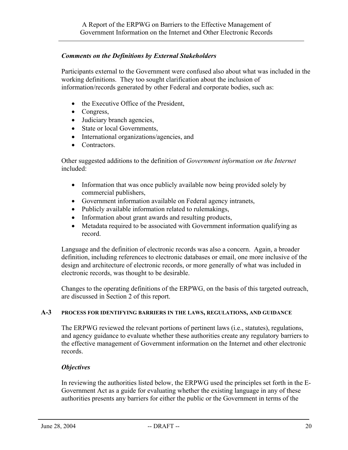#### *Comments on the Definitions by External Stakeholders*

Participants external to the Government were confused also about what was included in the working definitions. They too sought clarification about the inclusion of information/records generated by other Federal and corporate bodies, such as:

- the Executive Office of the President,
- Congress,
- Judiciary branch agencies,
- State or local Governments,
- International organizations/agencies, and
- Contractors.

Other suggested additions to the definition of *Government information on the Internet* included:

- Information that was once publicly available now being provided solely by commercial publishers,
- Government information available on Federal agency intranets,
- Publicly available information related to rulemakings,
- Information about grant awards and resulting products,
- Metadata required to be associated with Government information qualifying as record.

Language and the definition of electronic records was also a concern. Again, a broader definition, including references to electronic databases or email, one more inclusive of the design and architecture of electronic records, or more generally of what was included in electronic records, was thought to be desirable.

Changes to the operating definitions of the ERPWG, on the basis of this targeted outreach, are discussed in Section 2 of this report.

#### **A-3 PROCESS FOR IDENTIFYING BARRIERS IN THE LAWS, REGULATIONS, AND GUIDANCE**

The ERPWG reviewed the relevant portions of pertinent laws (i.e., statutes), regulations, and agency guidance to evaluate whether these authorities create any regulatory barriers to the effective management of Government information on the Internet and other electronic records.

#### *Objectives*

In reviewing the authorities listed below, the ERPWG used the principles set forth in the E-Government Act as a guide for evaluating whether the existing language in any of these authorities presents any barriers for either the public or the Government in terms of the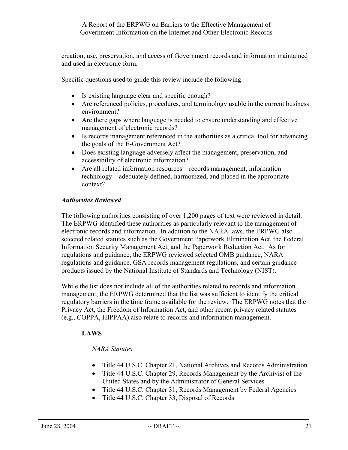creation, use, preservation, and access of Government records and information maintained and used in electronic form.

Specific questions used to guide this review include the following:

- Is existing language clear and specific enough?
- Are referenced policies, procedures, and terminology usable in the current business environment?
- Are there gaps where language is needed to ensure understanding and effective management of electronic records?
- Is records management referenced in the authorities as a critical tool for advancing the goals of the E-Government Act?
- Does existing language adversely affect the management, preservation, and accessibility of electronic information?
- Are all related information resources records management, information technology – adequately defined, harmonized, and placed in the appropriate context?

#### *Authorities Reviewed*

The following authorities consisting of over 1,200 pages of text were reviewed in detail. The ERPWG identified these authorities as particularly relevant to the management of electronic records and information. In addition to the NARA laws, the ERPWG also selected related statutes such as the Government Paperwork Elimination Act, the Federal Information Security Management Act, and the Paperwork Reduction Act. As for regulations and guidance, the ERPWG reviewed selected OMB guidance, NARA regulations and guidance, GSA records management regulations, and certain guidance products issued by the National Institute of Standards and Technology (NIST).

While the list does not include all of the authorities related to records and information management, the ERPWG determined that the list was sufficient to identify the critical regulatory barriers in the time frame available for the review. The ERPWG notes that the Privacy Act, the Freedom of Information Act, and other recent privacy related statutes (e.g., COPPA, HIPPAA) also relate to records and information management.

#### **LAWS**

#### *NARA Statutes*

- Title 44 U.S.C. Chapter 21, National Archives and Records Administration
- Title 44 U.S.C. Chapter 29, Records Management by the Archivist of the United States and by the Administrator of General Services
- Title 44 U.S.C. Chapter 31, Records Management by Federal Agencies
- Title 44 U.S.C. Chapter 33, Disposal of Records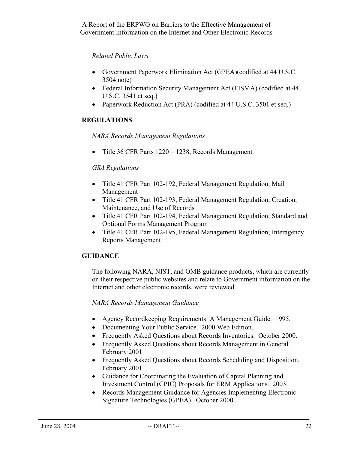## *Related Public Laws*

- Government Paperwork Elimination Act (GPEA)(codified at 44 U.S.C. 3504 note)
- Federal Information Security Management Act (FISMA) (codified at 44 U.S.C. 3541 et seq.)
- Paperwork Reduction Act (PRA) (codified at 44 U.S.C. 3501 et seq.)

# **REGULATIONS**

*NARA Records Management Regulations* 

• Title 36 CFR Parts 1220 – 1238, Records Management

## *GSA Regulations*

- Title 41 CFR Part 102-192, Federal Management Regulation; Mail Management
- Title 41 CFR Part 102-193, Federal Management Regulation; Creation, Maintenance, and Use of Records
- Title 41 CFR Part 102-194, Federal Management Regulation; Standard and Optional Forms Management Program
- Title 41 CFR Part 102-195, Federal Management Regulation; Interagency Reports Management

#### **GUIDANCE**

The following NARA, NIST, and OMB guidance products, which are currently on their respective public websites and relate to Government information on the Internet and other electronic records, were reviewed.

#### *NARA Records Management Guidance*

- Agency Recordkeeping Requirements: A Management Guide. 1995.
- Documenting Your Public Service. 2000 Web Edition.
- Frequently Asked Questions about Records Inventories. October 2000.
- Frequently Asked Questions about Records Management in General. February 2001.
- Frequently Asked Questions about Records Scheduling and Disposition. February 2001.
- Guidance for Coordinating the Evaluation of Capital Planning and Investment Control (CPIC) Proposals for ERM Applications. 2003.
- Records Management Guidance for Agencies Implementing Electronic Signature Technologies (GPEA). October 2000.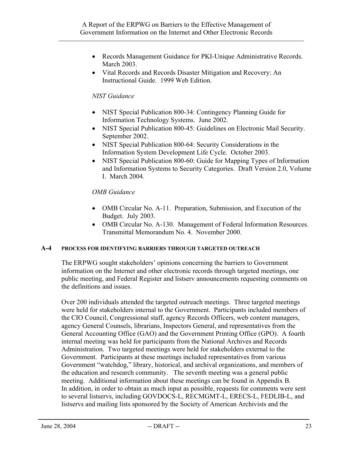- Records Management Guidance for PKI-Unique Administrative Records. March 2003.
- Vital Records and Records Disaster Mitigation and Recovery: An Instructional Guide. 1999 Web Edition.

## *NIST Guidance*

- NIST Special Publication 800-34: Contingency Planning Guide for Information Technology Systems. June 2002.
- NIST Special Publication 800-45: Guidelines on Electronic Mail Security. September 2002.
- NIST Special Publication 800-64: Security Considerations in the Information System Development Life Cycle. October 2003.
- NIST Special Publication 800-60: Guide for Mapping Types of Information and Information Systems to Security Categories. Draft Version 2.0, Volume I. March 2004.

## *OMB Guidance*

- OMB Circular No. A-11. Preparation, Submission, and Execution of the Budget. July 2003.
- OMB Circular No. A-130. Management of Federal Information Resources. Transmittal Memorandum No. 4. November 2000.

#### **A-4 PROCESS FOR IDENTIFYING BARRIERS THROUGH TARGETED OUTREACH**

The ERPWG sought stakeholders' opinions concerning the barriers to Government information on the Internet and other electronic records through targeted meetings, one public meeting, and Federal Register and listserv announcements requesting comments on the definitions and issues.

Over 200 individuals attended the targeted outreach meetings. Three targeted meetings were held for stakeholders internal to the Government. Participants included members of the CIO Council, Congressional staff, agency Records Officers, web content managers, agency General Counsels, librarians, Inspectors General, and representatives from the General Accounting Office (GAO) and the Government Printing Office (GPO). A fourth internal meeting was held for participants from the National Archives and Records Administration. Two targeted meetings were held for stakeholders external to the Government. Participants at these meetings included representatives from various Government "watchdog," library, historical, and archival organizations, and members of the education and research community. The seventh meeting was a general public meeting. Additional information about these meetings can be found in Appendix B. In addition, in order to obtain as much input as possible, requests for comments were sent to several listservs, including GOVDOCS-L, RECMGMT-L, ERECS-L, FEDLIB-L, and listservs and mailing lists sponsored by the Society of American Archivists and the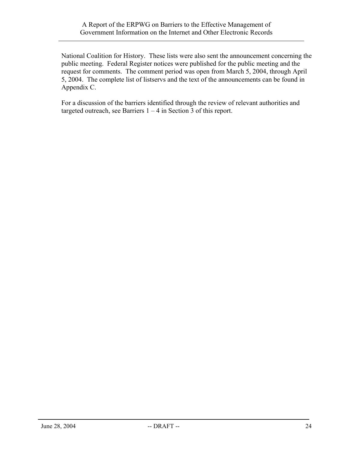National Coalition for History. These lists were also sent the announcement concerning the public meeting. Federal Register notices were published for the public meeting and the request for comments. The comment period was open from March 5, 2004, through April 5, 2004. The complete list of listservs and the text of the announcements can be found in Appendix C.

For a discussion of the barriers identified through the review of relevant authorities and targeted outreach, see Barriers  $1 - 4$  in Section 3 of this report.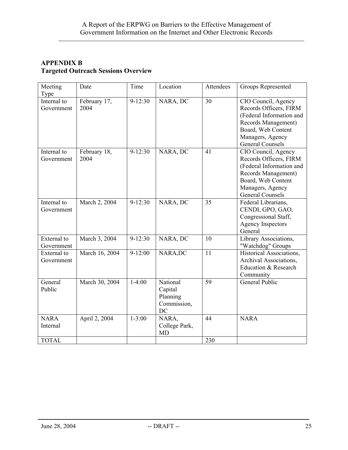# **APPENDIX B Targeted Outreach Sessions Overview**

| Meeting<br>Type           | Date                 | Time        | Location                                             | <b>Attendees</b> | Groups Represented                                                                                                                                                    |
|---------------------------|----------------------|-------------|------------------------------------------------------|------------------|-----------------------------------------------------------------------------------------------------------------------------------------------------------------------|
| Internal to<br>Government | February 17,<br>2004 | $9-12:30$   | NARA, DC                                             | 30               | CIO Council, Agency<br>Records Officers, FIRM<br>(Federal Information and<br>Records Management)<br>Board, Web Content<br>Managers, Agency<br><b>General Counsels</b> |
| Internal to<br>Government | February 18,<br>2004 | $9-12:30$   | NARA, DC                                             | 41               | CIO Council, Agency<br>Records Officers, FIRM<br>(Federal Information and<br>Records Management)<br>Board, Web Content<br>Managers, Agency<br><b>General Counsels</b> |
| Internal to<br>Government | March 2, 2004        | $9 - 12:30$ | NARA, DC                                             | 35               | Federal Librarians,<br>CENDI, GPO, GAO,<br>Congressional Staff,<br>Agency Inspectors<br>General                                                                       |
| External to<br>Government | March 3, 2004        | $9-12:30$   | NARA, DC                                             | 10               | Library Associations,<br>"Watchdog" Groups                                                                                                                            |
| External to<br>Government | March 16, 2004       | $9-12:00$   | NARA, DC                                             | 11               | Historical Associations,<br>Archival Associations,<br>Education & Research<br>Community                                                                               |
| General<br>Public         | March 30, 2004       | $1-4:00$    | National<br>Capital<br>Planning<br>Commission,<br>DC | 59               | General Public                                                                                                                                                        |
| <b>NARA</b><br>Internal   | April 2, 2004        | $1 - 3:00$  | NARA,<br>College Park,<br><b>MD</b>                  | 44               | <b>NARA</b>                                                                                                                                                           |
| <b>TOTAL</b>              |                      |             |                                                      | 230              |                                                                                                                                                                       |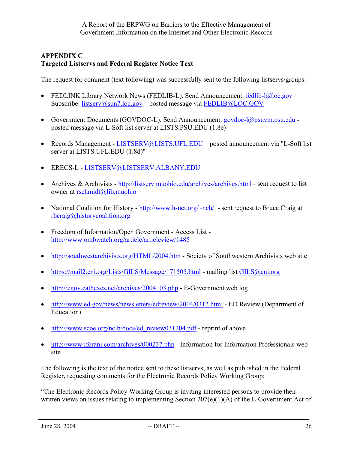# **APPENDIX C Targeted Listservs and Federal Register Notice Text**

The request for comment (text following) was successfully sent to the following listservs/groups:

- FEDLINK Library Network News (FEDLIB-L). Send Announcement: [fedlib-l@loc.gov](mailto:fedlib-l@loc.gov) Subscribe: [listserv@sun7.loc.gov](mailto:listserv@sun7.loc.gov) – posted message via [FEDLIB@LOC.GOV](mailto:FEDLIB@LOC.GOV)
- Government Documents (GOVDOC-L). Send Announcement: [govdoc-l@psuvm.psu.edu](mailto:govdoc-l@psuvm.psu.edu) posted message via L-Soft list server at LISTS.PSU.EDU (1.8e)
- Records Management [LISTSERV@LISTS.UFL.EDU](mailto:LISTSERV@LISTS.UFL.EDU) posted announcement via "L-Soft list server at LISTS.UFL.EDU (1.8d)"
- ERECS-L [LISTSERV@LISTSERV.ALBANY.EDU](mailto:LISTSERV@LISTSERV.ALBANY.EDU)
- Archives & Archivists -<http://listserv.muohio.edu/archives/archives.html> sent request to list owner at [rschmidt@lib.muohio](mailto:rschmidt@lib.muohio)
- National Coalition for History -<http://www.h-net.org/~nch/> sent request to Bruce Craig at [rbcraig@historycoalition.org](mailto:rbcraig@historycoalition.org)
- Freedom of Information/Open Government Access List <http://www.ombwatch.org/article/articleview/1485>
- <http://southwestarchivists.org/HTML/2004.htm> Society of Southwestern Archivists web site
- <https://mail2.cni.org/Lists/GILS/Message/171505.html> mailing list [GILS@cni.org](https://mail2.cni.org/Lists/GILS/List.html)
- [http://egov.cathexes.net/archives/2004\\_03.php](http://egov.cathexes.net/archives/2004_03.php)  E-Government web log
- <http://www.ed.gov/news/newsletters/edreview/2004/0312.html> ED Review (Department of Education)
- [http://www.scoe.org/nclb/docs/ed\\_review031204.pdf](http://www.scoe.org/nclb/docs/ed_review031204.pdf)  reprint of above
- <http://www.iforani.com/archives/000237.php> Information for Information Professionals web site

The following is the text of the notice sent to these listservs, as well as published in the Federal Register, requesting comments for the Electronic Records Policy Working Group:

"The Electronic Records Policy Working Group is inviting interested persons to provide their written views on issues relating to implementing Section 207(e)(1)(A) of the E-Government Act of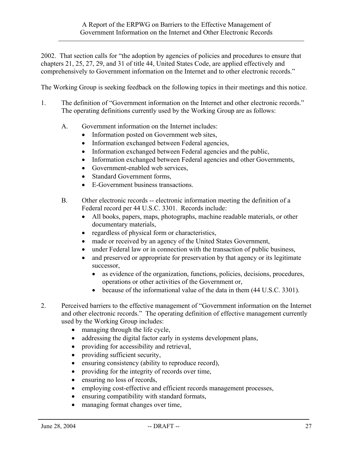2002. That section calls for "the adoption by agencies of policies and procedures to ensure that chapters 21, 25, 27, 29, and 31 of title 44, United States Code, are applied effectively and comprehensively to Government information on the Internet and to other electronic records."

The Working Group is seeking feedback on the following topics in their meetings and this notice.

- 1. The definition of "Government information on the Internet and other electronic records." The operating definitions currently used by the Working Group are as follows:
	- A. Government information on the Internet includes:
		- Information posted on Government web sites,
		- Information exchanged between Federal agencies,
		- Information exchanged between Federal agencies and the public,
		- Information exchanged between Federal agencies and other Governments,
		- Government-enabled web services,
		- Standard Government forms.
		- E-Government business transactions.
	- B. Other electronic records -- electronic information meeting the definition of a Federal record per 44 U.S.C. 3301. Records include:
		- All books, papers, maps, photographs, machine readable materials, or other documentary materials,
		- regardless of physical form or characteristics,
		- made or received by an agency of the United States Government,
		- under Federal law or in connection with the transaction of public business,
		- and preserved or appropriate for preservation by that agency or its legitimate successor,
			- as evidence of the organization, functions, policies, decisions, procedures, operations or other activities of the Government or,
			- because of the informational value of the data in them (44 U.S.C. 3301).
- 2. Perceived barriers to the effective management of "Government information on the Internet and other electronic records." The operating definition of effective management currently used by the Working Group includes:
	- managing through the life cycle,
	- addressing the digital factor early in systems development plans,
	- providing for accessibility and retrieval,
	- providing sufficient security,
	- ensuring consistency (ability to reproduce record),
	- providing for the integrity of records over time,
	- ensuring no loss of records,
	- employing cost-effective and efficient records management processes,
	- ensuring compatibility with standard formats,
	- managing format changes over time,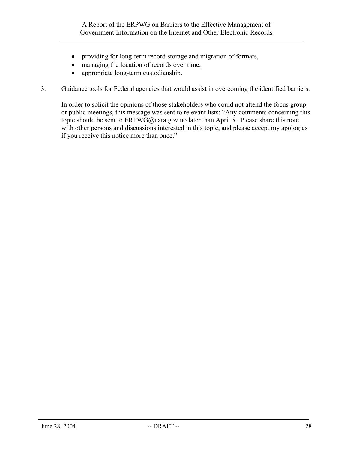- providing for long-term record storage and migration of formats,
- managing the location of records over time,
- appropriate long-term custodianship.
- 3. Guidance tools for Federal agencies that would assist in overcoming the identified barriers.

In order to solicit the opinions of those stakeholders who could not attend the focus group or public meetings, this message was sent to relevant lists: "Any comments concerning this topic should be sent to ERPWG@nara.gov no later than April 5. Please share this note with other persons and discussions interested in this topic, and please accept my apologies if you receive this notice more than once."